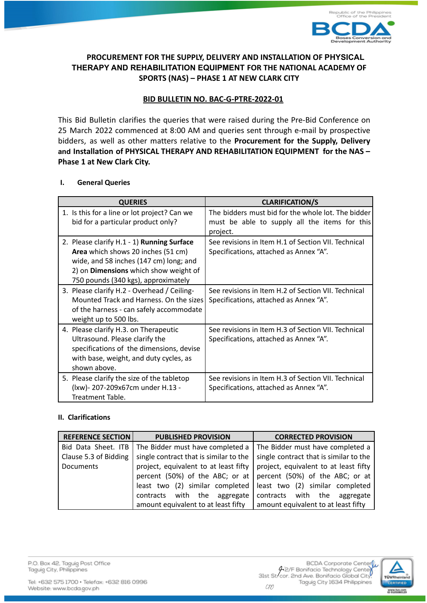

# **PROCUREMENT FOR THE SUPPLY, DELIVERY AND INSTALLATION OF PHYSICAL THERAPY AND REHABILITATION EQUIPMENT FOR THE NATIONAL ACADEMY OF SPORTS (NAS) – PHASE 1 AT NEW CLARK CITY**

# **BID BULLETIN NO. BAC-G-PTRE-2022-01**

This Bid Bulletin clarifies the queries that were raised during the Pre-Bid Conference on 25 March 2022 commenced at 8:00 AM and queries sent through e-mail by prospective bidders, as well as other matters relative to the **Procurement for the Supply, Delivery and Installation of PHYSICAL THERAPY AND REHABILITATION EQUIPMENT for the NAS – Phase 1 at New Clark City.**

### **I. General Queries**

| <b>QUERIES</b>                                                                                                                                                                                                    | <b>CLARIFICATION/S</b>                                                                                          |
|-------------------------------------------------------------------------------------------------------------------------------------------------------------------------------------------------------------------|-----------------------------------------------------------------------------------------------------------------|
| 1. Is this for a line or lot project? Can we<br>bid for a particular product only?                                                                                                                                | The bidders must bid for the whole lot. The bidder<br>must be able to supply all the items for this<br>project. |
| 2. Please clarify H.1 - 1) Running Surface<br>Area which shows 20 inches (51 cm)<br>wide, and 58 inches (147 cm) long; and<br>2) on <b>Dimensions</b> which show weight of<br>750 pounds (340 kgs), approximately | See revisions in Item H.1 of Section VII. Technical<br>Specifications, attached as Annex "A".                   |
| 3. Please clarify H.2 - Overhead / Ceiling-<br>Mounted Track and Harness. On the sizes<br>of the harness - can safely accommodate<br>weight up to 500 lbs.                                                        | See revisions in Item H.2 of Section VII. Technical<br>Specifications, attached as Annex "A".                   |
| 4. Please clarify H.3. on Therapeutic<br>Ultrasound. Please clarify the<br>specifications of the dimensions, devise<br>with base, weight, and duty cycles, as<br>shown above.                                     | See revisions in Item H.3 of Section VII. Technical<br>Specifications, attached as Annex "A".                   |
| 5. Please clarify the size of the tabletop<br>(lxw)-207-209x67cm under H.13 -<br>Treatment Table.                                                                                                                 | See revisions in Item H.3 of Section VII. Technical<br>Specifications, attached as Annex "A".                   |

## **II. Clarifications**

| <b>REFERENCE SECTION</b>                                | <b>PUBLISHED PROVISION</b>             | <b>CORRECTED PROVISION</b>             |
|---------------------------------------------------------|----------------------------------------|----------------------------------------|
| The Bidder must have completed a<br>Bid Data Sheet. ITB |                                        | The Bidder must have completed a       |
| Clause 5.3 of Bidding                                   | single contract that is similar to the | single contract that is similar to the |
| Documents                                               | project, equivalent to at least fifty  | project, equivalent to at least fifty  |
|                                                         | percent (50%) of the ABC; or at        | percent (50%) of the ABC; or at        |
|                                                         | least two (2) similar completed        | least two (2) similar completed        |
|                                                         | with the aggregate<br>contracts        | contracts with the aggregate           |
|                                                         | amount equivalent to at least fifty    | amount equivalent to at least fifty    |

P.O. Box 42, Taguig Post Office Taguig City, Philippines